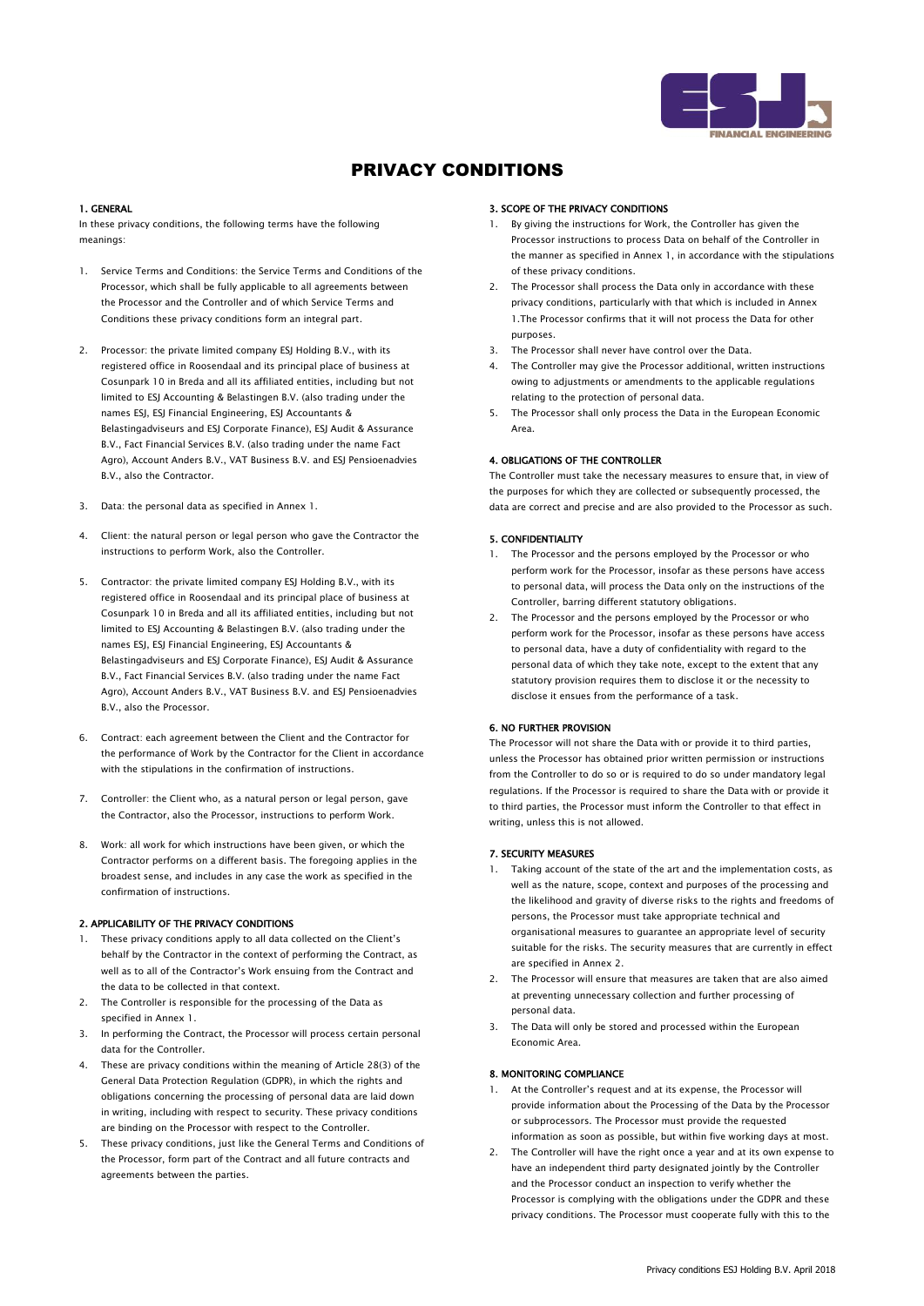

### 1. GENERAL

In these privacy conditions, the following terms have the following meanings:

- 1. Service Terms and Conditions: the Service Terms and Conditions of the Processor, which shall be fully applicable to all agreements between the Processor and the Controller and of which Service Terms and Conditions these privacy conditions form an integral part.
- 2. Processor: the private limited company ESJ Holding B.V., with its registered office in Roosendaal and its principal place of business at Cosunpark 10 in Breda and all its affiliated entities, including but not limited to ESJ Accounting & Belastingen B.V. (also trading under the names ESJ, ESJ Financial Engineering, ESJ Accountants & Belastingadviseurs and ESJ Corporate Finance), ESJ Audit & Assurance B.V., Fact Financial Services B.V. (also trading under the name Fact Agro), Account Anders B.V., VAT Business B.V. and ESJ Pensioenadvies B.V., also the Contractor.
- 3. Data: the personal data as specified in Annex 1.
- 4. Client: the natural person or legal person who gave the Contractor the instructions to perform Work, also the Controller.
- 5. Contractor: the private limited company ESJ Holding B.V., with its registered office in Roosendaal and its principal place of business at Cosunpark 10 in Breda and all its affiliated entities, including but not limited to ESJ Accounting & Belastingen B.V. (also trading under the names ESJ, ESJ Financial Engineering, ESJ Accountants & Belastingadviseurs and ESJ Corporate Finance), ESJ Audit & Assurance B.V., Fact Financial Services B.V. (also trading under the name Fact Agro), Account Anders B.V., VAT Business B.V. and ESJ Pensioenadvies B.V., also the Processor.
- 6. Contract: each agreement between the Client and the Contractor for the performance of Work by the Contractor for the Client in accordance with the stipulations in the confirmation of instructions.
- 7. Controller: the Client who, as a natural person or legal person, gave the Contractor, also the Processor, instructions to perform Work.
- 8. Work: all work for which instructions have been given, or which the Contractor performs on a different basis. The foregoing applies in the broadest sense, and includes in any case the work as specified in the confirmation of instructions.

## 2. APPLICABILITY OF THE PRIVACY CONDITIONS

- These privacy conditions apply to all data collected on the Client's behalf by the Contractor in the context of performing the Contract, as well as to all of the Contractor's Work ensuing from the Contract and the data to be collected in that context.
- 2. The Controller is responsible for the processing of the Data as specified in Annex 1.
- 3. In performing the Contract, the Processor will process certain personal data for the Controller.
- 4. These are privacy conditions within the meaning of Article 28(3) of the General Data Protection Regulation (GDPR), in which the rights and obligations concerning the processing of personal data are laid down in writing, including with respect to security. These privacy conditions are binding on the Processor with respect to the Controller.
- 5. These privacy conditions, just like the General Terms and Conditions of the Processor, form part of the Contract and all future contracts and agreements between the parties.

#### 3. SCOPE OF THE PRIVACY CONDITIONS

- 1. By giving the instructions for Work, the Controller has given the Processor instructions to process Data on behalf of the Controller in the manner as specified in Annex 1, in accordance with the stipulations of these privacy conditions.
- The Processor shall process the Data only in accordance with these privacy conditions, particularly with that which is included in Annex 1.The Processor confirms that it will not process the Data for other purposes.
- 3. The Processor shall never have control over the Data.
- The Controller may give the Processor additional, written instructions owing to adjustments or amendments to the applicable regulations relating to the protection of personal data.
- 5. The Processor shall only process the Data in the European Economic Area.

## 4. OBLIGATIONS OF THE CONTROLLER

The Controller must take the necessary measures to ensure that, in view of the purposes for which they are collected or subsequently processed, the data are correct and precise and are also provided to the Processor as such.

## 5. CONFIDENTIALITY

- 1. The Processor and the persons employed by the Processor or who perform work for the Processor, insofar as these persons have access to personal data, will process the Data only on the instructions of the Controller, barring different statutory obligations.
- 2. The Processor and the persons employed by the Processor or who perform work for the Processor, insofar as these persons have access to personal data, have a duty of confidentiality with regard to the personal data of which they take note, except to the extent that any statutory provision requires them to disclose it or the necessity to disclose it ensues from the performance of a task.

## 6. NO FURTHER PROVISION

The Processor will not share the Data with or provide it to third parties, unless the Processor has obtained prior written permission or instructions from the Controller to do so or is required to do so under mandatory legal regulations. If the Processor is required to share the Data with or provide it to third parties, the Processor must inform the Controller to that effect in writing, unless this is not allowed.

## 7. SECURITY MEASURES

- Taking account of the state of the art and the implementation costs, as well as the nature, scope, context and purposes of the processing and the likelihood and gravity of diverse risks to the rights and freedoms of persons, the Processor must take appropriate technical and organisational measures to guarantee an appropriate level of security suitable for the risks. The security measures that are currently in effect are specified in Annex 2.
- 2. The Processor will ensure that measures are taken that are also aimed at preventing unnecessary collection and further processing of personal data.
- 3. The Data will only be stored and processed within the European Economic Area.

## 8. MONITORING COMPLIANCE

- 1. At the Controller's request and at its expense, the Processor will provide information about the Processing of the Data by the Processor or subprocessors. The Processor must provide the requested information as soon as possible, but within five working days at most.
- 2. The Controller will have the right once a year and at its own expense to have an independent third party designated jointly by the Controller and the Processor conduct an inspection to verify whether the Processor is complying with the obligations under the GDPR and these privacy conditions. The Processor must cooperate fully with this to the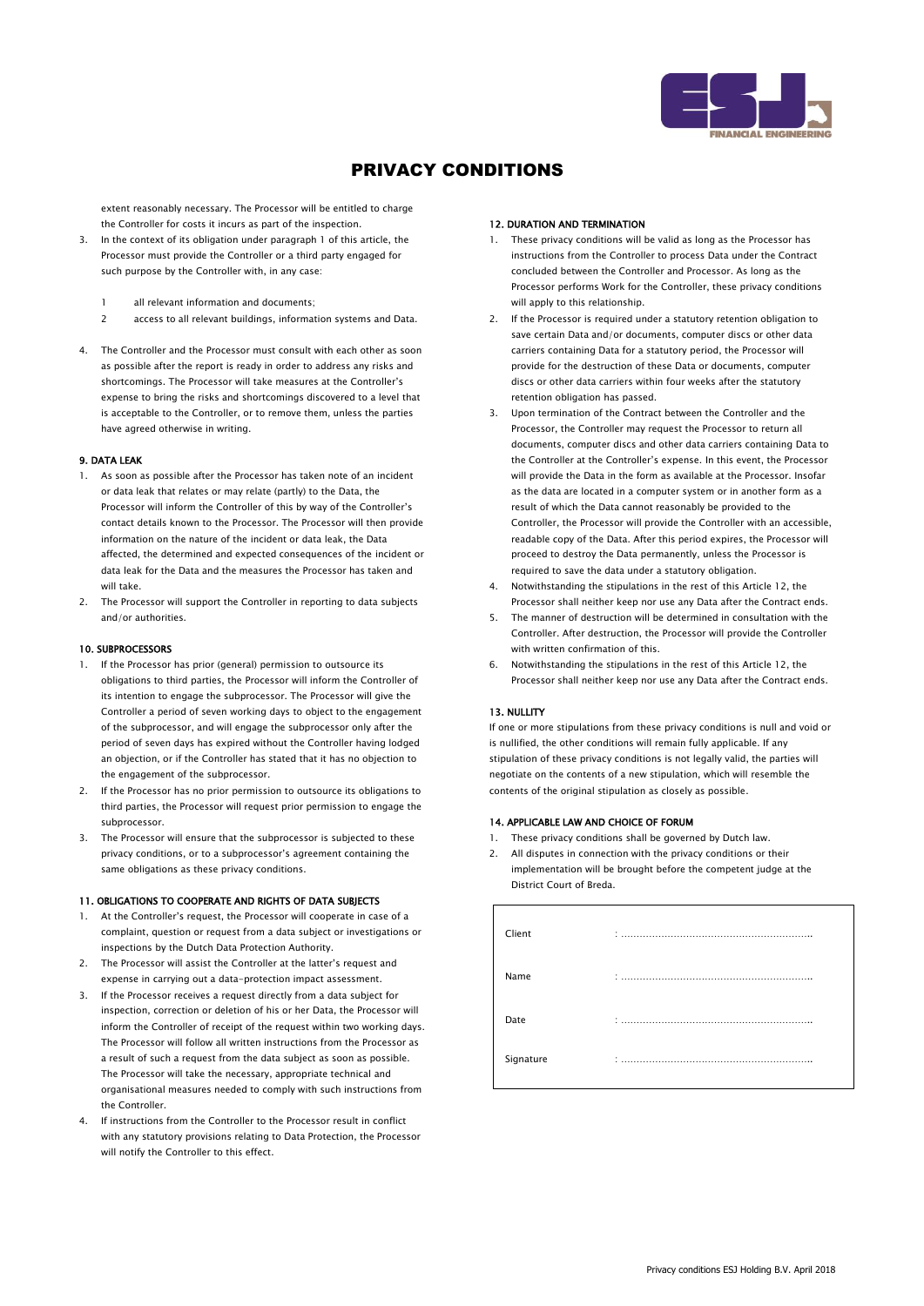

extent reasonably necessary. The Processor will be entitled to charge the Controller for costs it incurs as part of the inspection.

- 3. In the context of its obligation under paragraph 1 of this article, the Processor must provide the Controller or a third party engaged for such purpose by the Controller with, in any case:
	- 1 all relevant information and documents;
	- 2 access to all relevant buildings, information systems and Data.
- 4. The Controller and the Processor must consult with each other as soon as possible after the report is ready in order to address any risks and shortcomings. The Processor will take measures at the Controller's expense to bring the risks and shortcomings discovered to a level that is acceptable to the Controller, or to remove them, unless the parties have agreed otherwise in writing.

#### 9. DATA LEAK

- 1. As soon as possible after the Processor has taken note of an incident or data leak that relates or may relate (partly) to the Data, the Processor will inform the Controller of this by way of the Controller's contact details known to the Processor. The Processor will then provide information on the nature of the incident or data leak, the Data affected, the determined and expected consequences of the incident or data leak for the Data and the measures the Processor has taken and will take.
- 2. The Processor will support the Controller in reporting to data subjects and/or authorities.

### 10. SUBPROCESSORS

- 1. If the Processor has prior (general) permission to outsource its obligations to third parties, the Processor will inform the Controller of its intention to engage the subprocessor. The Processor will give the Controller a period of seven working days to object to the engagement of the subprocessor, and will engage the subprocessor only after the period of seven days has expired without the Controller having lodged an objection, or if the Controller has stated that it has no objection to the engagement of the subprocessor.
- 2. If the Processor has no prior permission to outsource its obligations to third parties, the Processor will request prior permission to engage the subprocessor.
- 3. The Processor will ensure that the subprocessor is subjected to these privacy conditions, or to a subprocessor's agreement containing the same obligations as these privacy conditions.

#### 11. OBLIGATIONS TO COOPERATE AND RIGHTS OF DATA SUBJECTS

- 1. At the Controller's request, the Processor will cooperate in case of a complaint, question or request from a data subject or investigations or inspections by the Dutch Data Protection Authority.
- 2. The Processor will assist the Controller at the latter's request and expense in carrying out a data-protection impact assessment.
- 3. If the Processor receives a request directly from a data subject for inspection, correction or deletion of his or her Data, the Processor will inform the Controller of receipt of the request within two working days. The Processor will follow all written instructions from the Processor as a result of such a request from the data subject as soon as possible. The Processor will take the necessary, appropriate technical and organisational measures needed to comply with such instructions from the Controller.
- 4. If instructions from the Controller to the Processor result in conflict with any statutory provisions relating to Data Protection, the Processor will notify the Controller to this effect.

#### 12. DURATION AND TERMINATION

- 1. These privacy conditions will be valid as long as the Processor has instructions from the Controller to process Data under the Contract concluded between the Controller and Processor. As long as the Processor performs Work for the Controller, these privacy conditions will annly to this relationship.
- 2. If the Processor is required under a statutory retention obligation to save certain Data and/or documents, computer discs or other data carriers containing Data for a statutory period, the Processor will provide for the destruction of these Data or documents, computer discs or other data carriers within four weeks after the statutory retention obligation has passed.
- 3. Upon termination of the Contract between the Controller and the Processor, the Controller may request the Processor to return all documents, computer discs and other data carriers containing Data to the Controller at the Controller's expense. In this event, the Processor will provide the Data in the form as available at the Processor. Insofar as the data are located in a computer system or in another form as a result of which the Data cannot reasonably be provided to the Controller, the Processor will provide the Controller with an accessible, readable copy of the Data. After this period expires, the Processor will proceed to destroy the Data permanently, unless the Processor is required to save the data under a statutory obligation.
- 4. Notwithstanding the stipulations in the rest of this Article 12, the Processor shall neither keep nor use any Data after the Contract ends.
- 5. The manner of destruction will be determined in consultation with the Controller. After destruction, the Processor will provide the Controller with written confirmation of this.
- 6. Notwithstanding the stipulations in the rest of this Article 12, the Processor shall neither keep nor use any Data after the Contract ends.

#### 13. NULLITY

If one or more stipulations from these privacy conditions is null and void or is nullified, the other conditions will remain fully applicable. If any stipulation of these privacy conditions is not legally valid, the parties will negotiate on the contents of a new stipulation, which will resemble the contents of the original stipulation as closely as possible.

#### 14. APPLICABLE LAW AND CHOICE OF FORUM

- 1. These privacy conditions shall be governed by Dutch law.
- 2. All disputes in connection with the privacy conditions or their implementation will be brought before the competent judge at the District Court of Breda.

| Client    | ٠                    |
|-----------|----------------------|
| Name      | ٠<br>$\cdot$ $\cdot$ |
| Date      | ٠                    |
| Signature | ٠                    |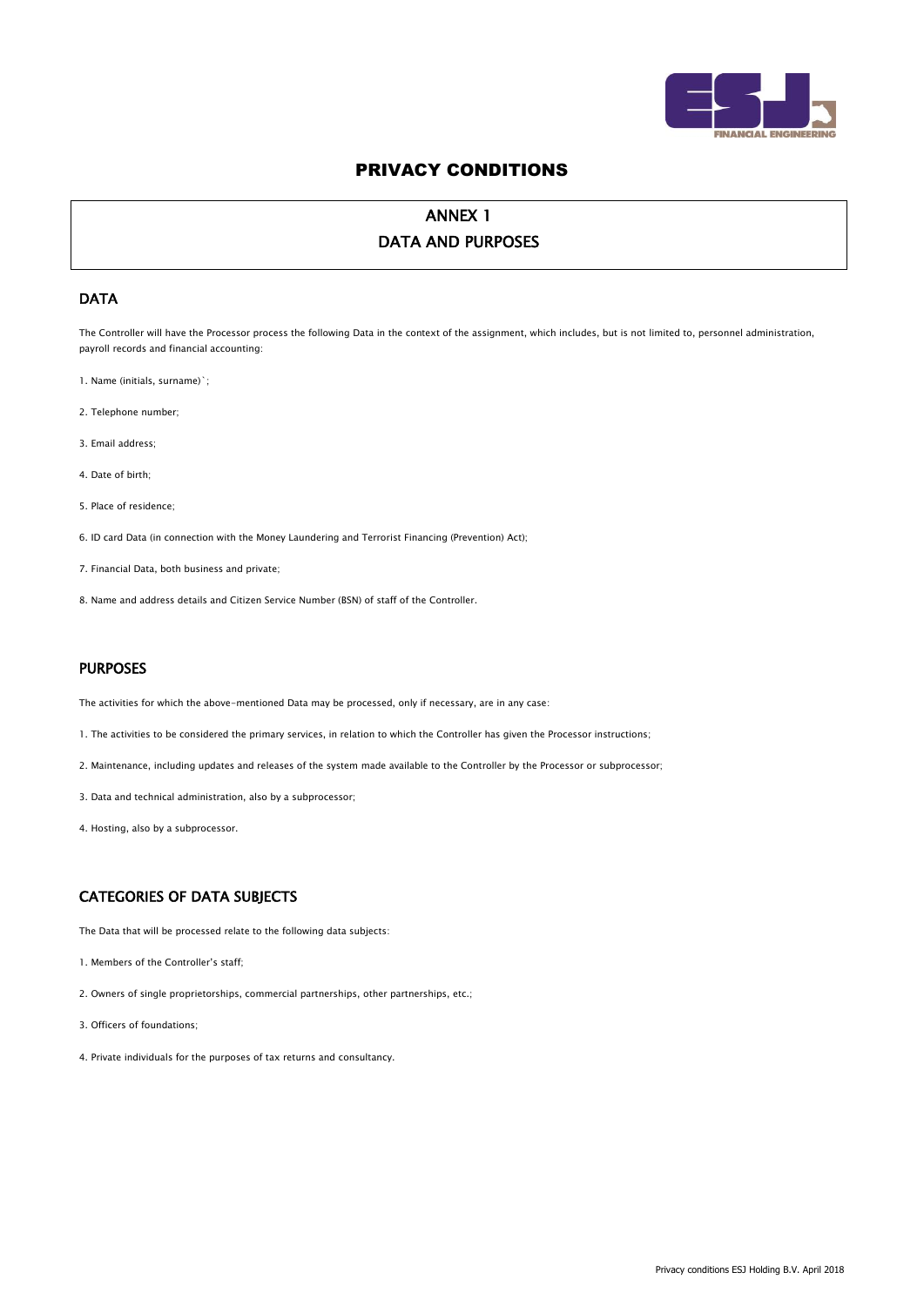

# ANNEX 1 DATA AND PURPOSES

## DATA

The Controller will have the Processor process the following Data in the context of the assignment, which includes, but is not limited to, personnel administration, payroll records and financial accounting:

- 1. Name (initials, surname)`;
- 2. Telephone number;
- 3. Email address;
- 4. Date of birth;
- 5. Place of residence;
- 6. ID card Data (in connection with the Money Laundering and Terrorist Financing (Prevention) Act);
- 7. Financial Data, both business and private;
- 8. Name and address details and Citizen Service Number (BSN) of staff of the Controller.

## PURPOSES

The activities for which the above-mentioned Data may be processed, only if necessary, are in any case:

- 1. The activities to be considered the primary services, in relation to which the Controller has given the Processor instructions;
- 2. Maintenance, including updates and releases of the system made available to the Controller by the Processor or subprocessor;
- 3. Data and technical administration, also by a subprocessor;
- 4. Hosting, also by a subprocessor.

# CATEGORIES OF DATA SUBJECTS

The Data that will be processed relate to the following data subjects:

- 1. Members of the Controller's staff;
- 2. Owners of single proprietorships, commercial partnerships, other partnerships, etc.;
- 3. Officers of foundations;
- 4. Private individuals for the purposes of tax returns and consultancy.